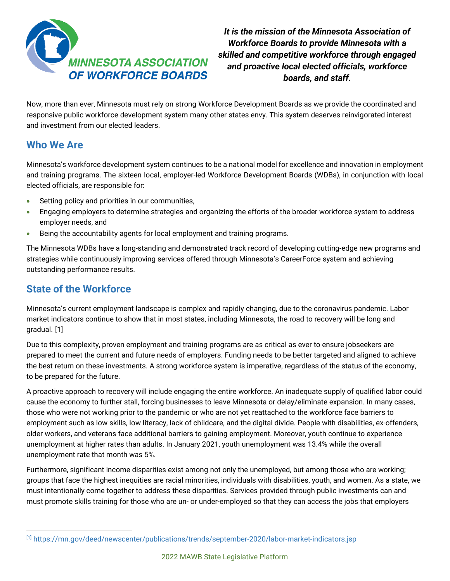

*It is the mission of the Minnesota Association of Workforce Boards to provide Minnesota with a skilled and competitive workforce through engaged and proactive local elected officials, workforce boards, and staff.*

Now, more than ever, Minnesota must rely on strong Workforce Development Boards as we provide the coordinated and responsive public workforce development system many other states envy. This system deserves reinvigorated interest and investment from our elected leaders.

### **Who We Are**

Minnesota's workforce development system continues to be a national model for excellence and innovation in employment and training programs. The sixteen local, employer-led Workforce Development Boards (WDBs), in conjunction with local elected officials, are responsible for:

- Setting policy and priorities in our communities,
- Engaging employers to determine strategies and organizing the efforts of the broader workforce system to address employer needs, and
- Being the accountability agents for local employment and training programs.

The Minnesota WDBs have a long-standing and demonstrated track record of developing cutting-edge new programs and strategies while continuously improving services offered through Minnesota's CareerForce system and achieving outstanding performance results.

# **State of the Workforce**

Minnesota's current employment landscape is complex and rapidly changing, due to the coronavirus pandemic. Labor market indicators continue to show that in most states, including Minnesota, the road to recovery will be long and gradual. [\[1\]](#page-0-0) 

Due to this complexity, proven employment and training programs are as critical as ever to ensure jobseekers are prepared to meet the current and future needs of employers. Funding needs to be better targeted and aligned to achieve the best return on these investments. A strong workforce system is imperative, regardless of the status of the economy, to be prepared for the future.

A proactive approach to recovery will include engaging the entire workforce. An inadequate supply of qualified labor could cause the economy to further stall, forcing businesses to leave Minnesota or delay/eliminate expansion. In many cases, those who were not working prior to the pandemic or who are not yet reattached to the workforce face barriers to employment such as low skills, low literacy, lack of childcare, and the digital divide. People with disabilities, ex-offenders, older workers, and veterans face additional barriers to gaining employment. Moreover, youth continue to experience unemployment at higher rates than adults. In January 2021, youth unemployment was 13.4% while the overall unemployment rate that month was 5%.

Furthermore, significant income disparities exist among not only the unemployed, but among those who are working; groups that face the highest inequities are racial minorities, individuals with disabilities, youth, and women. As a state, we must intentionally come together to address these disparities. Services provided through public investments can and must promote skills training for those who are un- or under-employed so that they can access the jobs that employers

<span id="page-0-0"></span><sup>&</sup>lt;sup>[1]</sup> https://mn.gov/deed/newscenter/publications/trends/september-2020/labor-market-indicators.jsp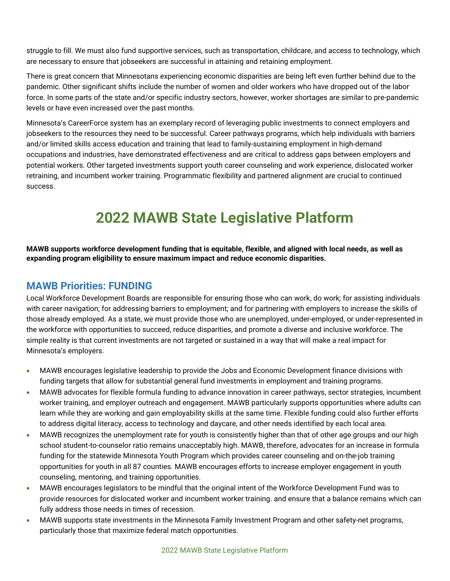struggle to fill. We must also fund supportive services, such as transportation, childcare, and access to technology, which are necessary to ensure that jobseekers are successful in attaining and retaining employment.

There is great concern that Minnesotans experiencing economic disparities are being left even further behind due to the pandemic. Other significant shifts include the number of women and older workers who have dropped out of the labor force. In some parts of the state and/or specific industry sectors, however, worker shortages are similar to pre-pandemic levels or have even increased over the past months.

Minnesota's CareerForce system has an exemplary record of leveraging public investments to connect employers and jobseekers to the resources they need to be successful. Career pathways programs, which help individuals with barriers and/or limited skills access education and training that lead to family-sustaining employment in high-demand occupations and industries, have demonstrated effectiveness and are critical to address gaps between employers and potential workers. Other targeted investments support youth career counseling and work experience, dislocated worker retraining, and incumbent worker training. Programmatic flexibility and partnered alignment are crucial to continued success.

# **2022 MAWB State Legislative Platform**

**MAWB supports workforce development funding that is equitable, flexible, and aligned with local needs, as well as expanding program eligibility to ensure maximum impact and reduce economic disparities.** 

#### **MAWB Priorities: FUNDING**

Local Workforce Development Boards are responsible for ensuring those who can work, do work; for assisting individuals with career navigation; for addressing barriers to employment; and for partnering with employers to increase the skills of those already employed. As a state, we must provide those who are unemployed, under-employed, or under-represented in the workforce with opportunities to succeed, reduce disparities, and promote a diverse and inclusive workforce. The simple reality is that current investments are not targeted or sustained in a way that will make a real impact for Minnesota's employers.

- MAWB encourages legislative leadership to provide the Jobs and Economic Development finance divisions with funding targets that allow for substantial general fund investments in employment and training programs.
- MAWB advocates for flexible formula funding to advance innovation in career pathways, sector strategies, incumbent worker training, and employer outreach and engagement. MAWB particularly supports opportunities where adults can learn while they are working and gain employability skills at the same time. Flexible funding could also further efforts to address digital literacy, access to technology and daycare, and other needs identified by each local area.
- MAWB recognizes the unemployment rate for youth is consistently higher than that of other age groups and our high school student-to-counselor ratio remains unacceptably high. MAWB, therefore, advocates for an increase in formula funding for the statewide Minnesota Youth Program which provides career counseling and on-the-job training opportunities for youth in all 87 counties. MAWB encourages efforts to increase employer engagement in youth counseling, mentoring, and training opportunities.
- MAWB encourages legislators to be mindful that the original intent of the Workforce Development Fund was to provide resources for dislocated worker and incumbent worker training. and ensure that a balance remains which can fully address those needs in times of recession.
- MAWB supports state investments in the Minnesota Family Investment Program and other safety-net programs, particularly those that maximize federal match opportunities.